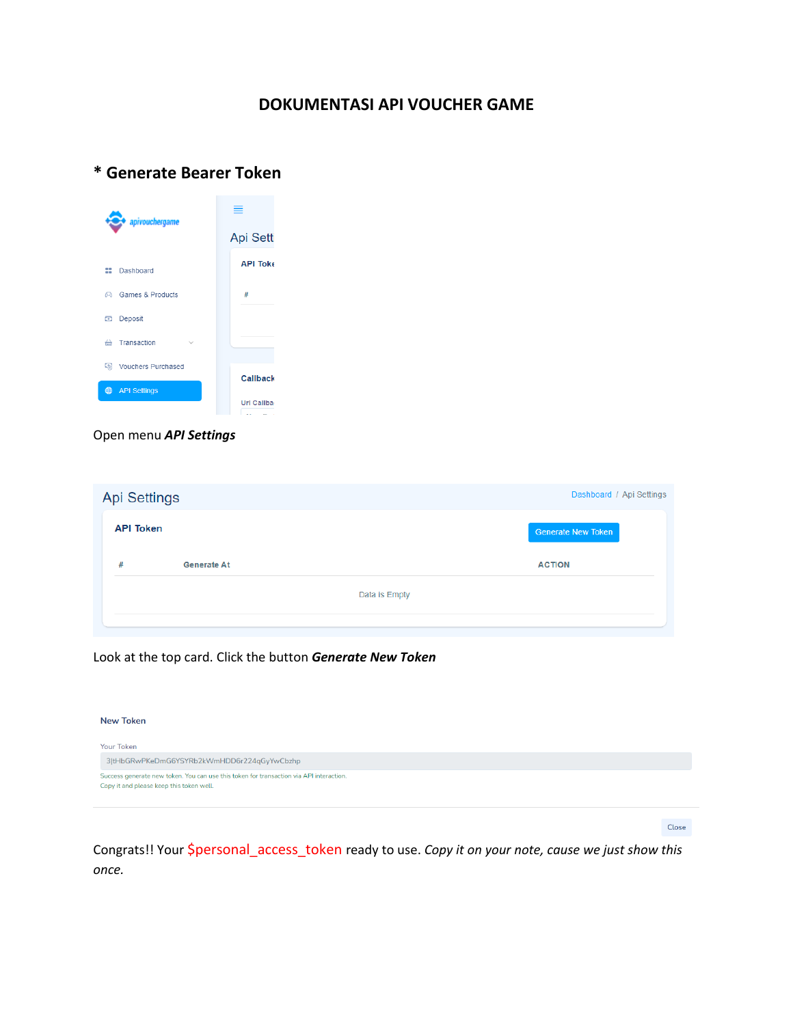# **DOKUMENTASI API VOUCHER GAME**

# **\* Generate Bearer Token**

| apivouchergame                   | =               |
|----------------------------------|-----------------|
|                                  | <b>Api Sett</b> |
| 88<br>Dashboard                  | <b>API Toke</b> |
| <b>Games &amp; Products</b><br>G | #               |
| Deposit                          |                 |
| ⇔<br>Transaction                 |                 |
| <b>E</b> Vouchers Purchased      | <b>Callback</b> |
| 4<br><b>API Settings</b>         |                 |
|                                  | Url Callba      |

### Open menu *API Settings*

| <b>Api Settings</b> |                    |               | Dashboard / Api Settings  |  |
|---------------------|--------------------|---------------|---------------------------|--|
| <b>API Token</b>    |                    |               | <b>Generate New Token</b> |  |
| #                   | <b>Generate At</b> |               | <b>ACTION</b>             |  |
|                     |                    | Data is Empty |                           |  |
|                     |                    |               |                           |  |

# Look at the top card. Click the button *Generate New Token*

| <b>New Token</b>                                                                                                                    |  |
|-------------------------------------------------------------------------------------------------------------------------------------|--|
| <b>Your Token</b><br>3 tHbGRwPKeDmG6YSYRb2kWmHDD6r224qGyYwCbzhp                                                                     |  |
| Success generate new token. You can use this token for transaction via API interaction.<br>Copy it and please keep this token well. |  |

Close

Congrats!! Your \$personal\_access\_token ready to use. *Copy it on your note, cause we just show this once.*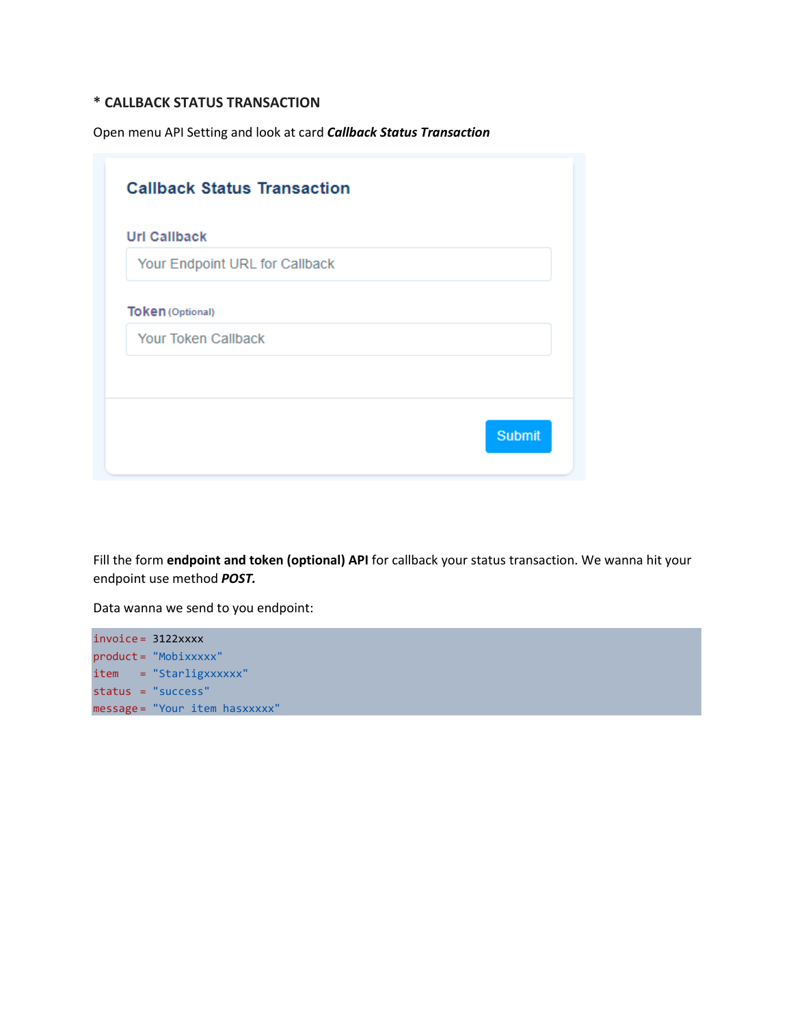### **\* CALLBACK STATUS TRANSACTION**

Open menu API Setting and look at card *Callback Status Transaction*

| <b>Callback Status Transaction</b>                    |               |
|-------------------------------------------------------|---------------|
| <b>Url Callback</b>                                   |               |
| Your Endpoint URL for Callback                        |               |
| <b>Token (Optional)</b><br><b>Your Token Callback</b> |               |
|                                                       |               |
|                                                       |               |
|                                                       | <b>Submit</b> |
|                                                       |               |

Fill the form **endpoint and token (optional) API** for callback your status transaction. We wanna hit your endpoint use method *POST.*

Data wanna we send to you endpoint:

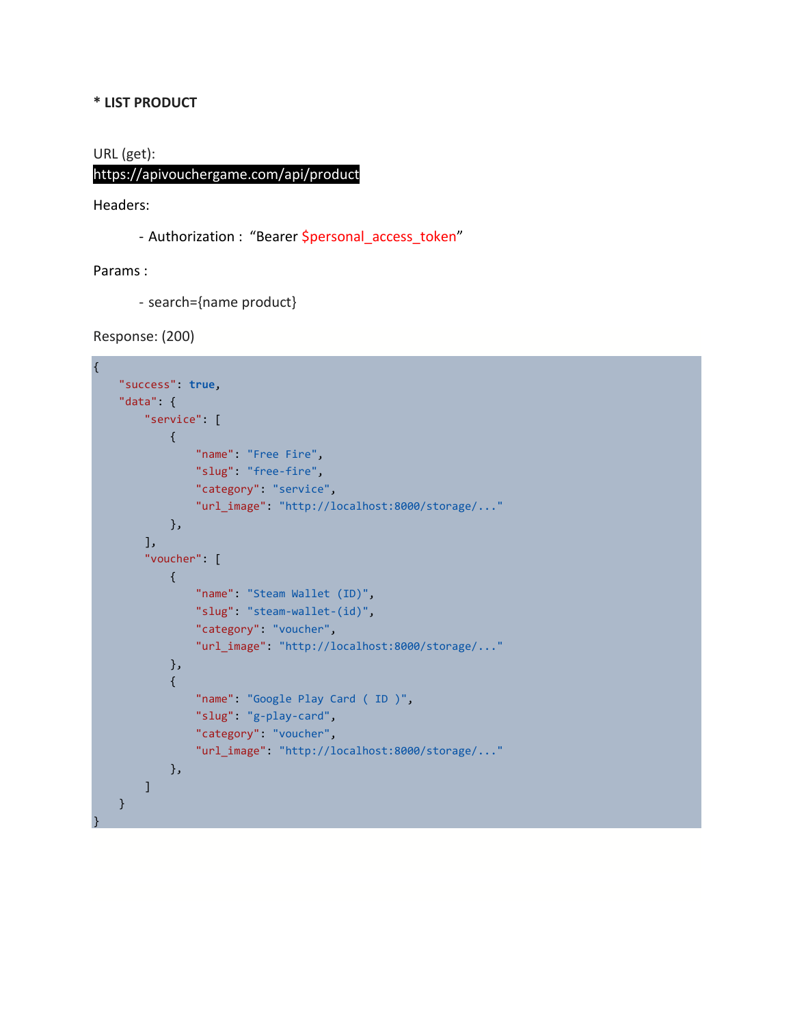### **\* LIST PRODUCT**

URL (get):

# https://apivouchergame.com/api/product

Headers:

- Authorization : "Bearer Spersonal\_access\_token"

Params :

- search={name product}

Response: (200)

```
{
     "success": true,
     "data": {
         "service": [
             {
                  "name": "Free Fire",
                  "slug": "free-fire",
                  "category": "service",
                  "url_image": "http://localhost:8000/storage/..."
             },
         ],
         "voucher": [
             {
                 "name": "Steam Wallet (ID)",
                 "slug": "steam-wallet-(id)",
                  "category": "voucher",
                  "url_image": "http://localhost:8000/storage/..."
             },
             {
                  "name": "Google Play Card ( ID )",
                  "slug": "g-play-card",
                  "category": "voucher",
                  "url_image": "http://localhost:8000/storage/..."
             },
         ]
     }
}
```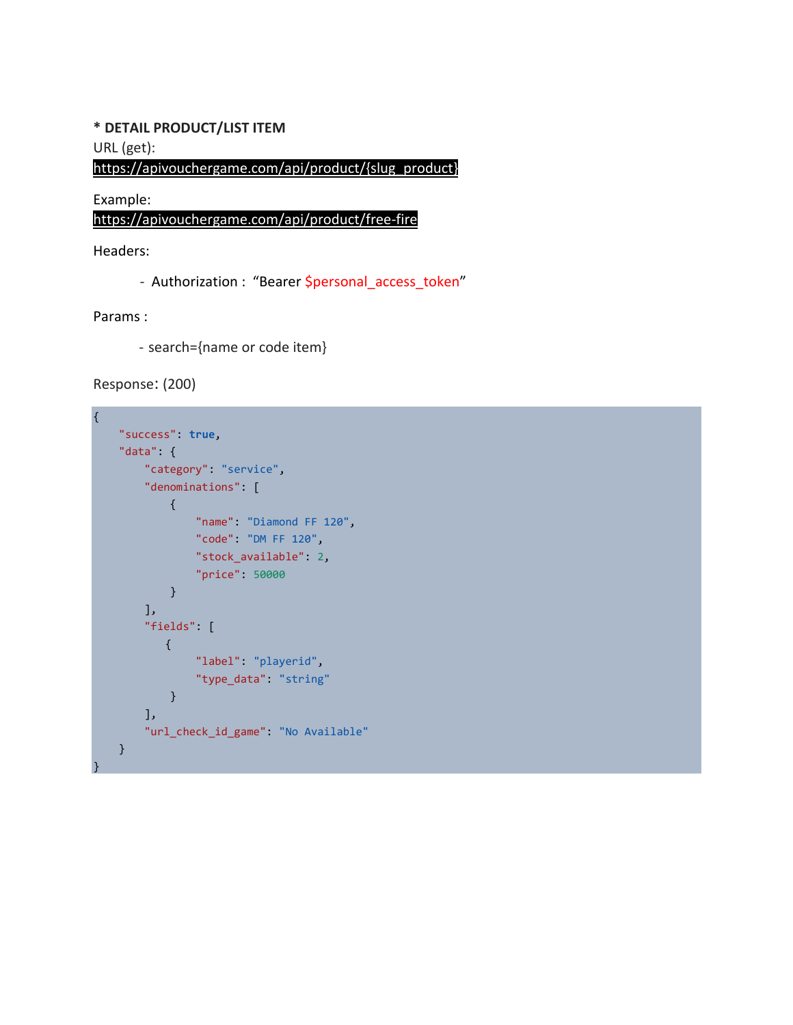### **\* DETAIL PRODUCT/LIST ITEM**

URL (get):

https://apivouchergame.com/api/product/{slug\_product}

Example: https://apivouchergame.com/api/product/free-fire

Headers:

- Authorization : "Bearer \$personal\_access\_token"

Params :

- search={name or code item}

Response: (200)

```
{
     "success": true,
     "data": {
         "category": "service",
         "denominations": [
             {
                  "name": "Diamond FF 120",
                  "code": "DM FF 120",
                  "stock_available": 2,
                  "price": 50000
              }
         ],
          "fields": [ 
             {
                  "label": "playerid",
                  "type_data": "string"
              }
         ],
         "url_check_id_game": "No Available"
     }
}
```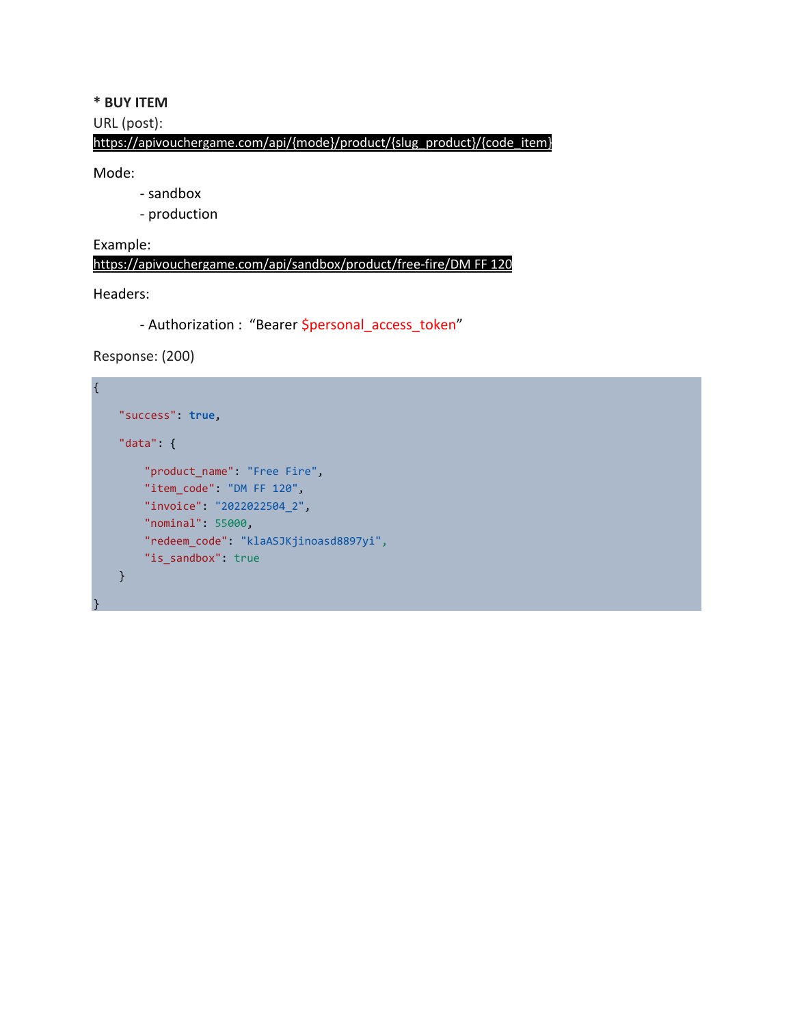# **\* BUY ITEM**

## URL (post):

## https://apivouchergame.com/api/{mode}/product/{slug\_product}/{code\_item}

### Mode:

- sandbox
- production

# Example:

https://apivouchergame.com/api/sandbox/product/free-fire/DM FF 120

### Headers:

}

- Authorization : "Bearer \$personal\_access\_token"

# Response: (200)

```
{
     "success": true,
     "data": {
         "product_name": "Free Fire",
        "item code": "DM FF 120",
         "invoice": "2022022504_2",
         "nominal": 55000,
         "redeem_code": "klaASJKjinoasd8897yi",
        "is sandbox": true
     }
```